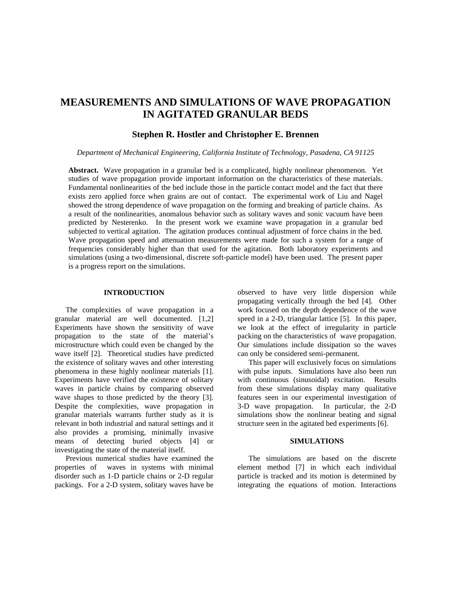# **MEASUREMENTS AND SIMULATIONS OF WAVE PROPAGATION IN AGITATED GRANULAR BEDS**

## **Stephen R. Hostler and Christopher E. Brennen**

### *Department of Mechanical Engineering, California Institute of Technology, Pasadena, CA 91125*

**Abstract.** Wave propagation in a granular bed is a complicated, highly nonlinear phenomenon. Yet studies of wave propagation provide important information on the characteristics of these materials. Fundamental nonlinearities of the bed include those in the particle contact model and the fact that there exists zero applied force when grains are out of contact. The experimental work of Liu and Nagel showed the strong dependence of wave propagation on the forming and breaking of particle chains. As a result of the nonlinearities, anomalous behavior such as solitary waves and sonic vacuum have been predicted by Nesterenko. In the present work we examine wave propagation in a granular bed subjected to vertical agitation. The agitation produces continual adjustment of force chains in the bed. Wave propagation speed and attenuation measurements were made for such a system for a range of frequencies considerably higher than that used for the agitation. Both laboratory experiments and simulations (using a two-dimensional, discrete soft-particle model) have been used. The present paper is a progress report on the simulations.

## **INTRODUCTION**

The complexities of wave propagation in a granular material are well documented. [1,2] Experiments have shown the sensitivity of wave propagation to the state of the material's microstructure which could even be changed by the wave itself [2]. Theoretical studies have predicted the existence of solitary waves and other interesting phenomena in these highly nonlinear materials [1]. Experiments have verified the existence of solitary waves in particle chains by comparing observed wave shapes to those predicted by the theory [3]. Despite the complexities, wave propagation in granular materials warrants further study as it is relevant in both industrial and natural settings and it also provides a promising, minimally invasive means of detecting buried objects [4] or investigating the state of the material itself.

Previous numerical studies have examined the properties of waves in systems with minimal disorder such as 1-D particle chains or 2-D regular packings. For a 2-D system, solitary waves have be

observed to have very little dispersion while propagating vertically through the bed [4]. Other work focused on the depth dependence of the wave speed in a 2-D, triangular lattice [5]. In this paper, we look at the effect of irregularity in particle packing on the characteristics of wave propagation. Our simulations include dissipation so the waves can only be considered semi-permanent.

This paper will exclusively focus on simulations with pulse inputs. Simulations have also been run with continuous (sinusoidal) excitation. Results from these simulations display many qualitative features seen in our experimental investigation of 3-D wave propagation. In particular, the 2-D simulations show the nonlinear beating and signal structure seen in the agitated bed experiments [6].

## **SIMULATIONS**

The simulations are based on the discrete element method [7] in which each individual particle is tracked and its motion is determined by integrating the equations of motion. Interactions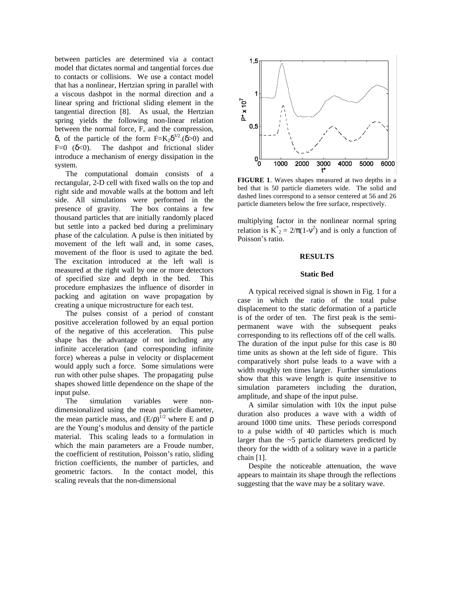between particles are determined via a contact model that dictates normal and tangential forces due to contacts or collisions. We use a contact model that has a nonlinear, Hertzian spring in parallel with a viscous dashpot in the normal direction and a linear spring and frictional sliding element in the tangential direction [8]. As usual, the Hertzian spring yields the following non-linear relation between the normal force, F, and the compression, δ, of the particle of the form  $F=K_2\delta^{3/2}$ . (δ>0) and F=0  $(\delta$ <0). The dashpot and frictional slider introduce a mechanism of energy dissipation in the system.

The computational domain consists of a rectangular, 2-D cell with fixed walls on the top and right side and movable walls at the bottom and left side. All simulations were performed in the presence of gravity. The box contains a few thousand particles that are initially randomly placed but settle into a packed bed during a preliminary phase of the calculation. A pulse is then initiated by movement of the left wall and, in some cases, movement of the floor is used to agitate the bed. The excitation introduced at the left wall is measured at the right wall by one or more detectors of specified size and depth in the bed. This procedure emphasizes the influence of disorder in packing and agitation on wave propagation by creating a unique microstructure for each test.

The pulses consist of a period of constant positive acceleration followed by an equal portion of the negative of this acceleration. This pulse shape has the advantage of not including any infinite acceleration (and corresponding infinite force) whereas a pulse in velocity or displacement would apply such a force. Some simulations were run with other pulse shapes. The propagating pulse shapes showed little dependence on the shape of the input pulse.

The simulation variables were nondimensionalized using the mean particle diameter, the mean particle mass, and  $(E/\rho)^{1/2}$  where E and  $\rho$ are the Young's modulus and density of the particle material. This scaling leads to a formulation in which the main parameters are a Froude number, the coefficient of restitution, Poisson's ratio, sliding friction coefficients, the number of particles, and geometric factors. In the contact model, this scaling reveals that the non-dimensional



**FIGURE 1**. Waves shapes measured at two depths in a bed that is 50 particle diameters wide. The solid and dashed lines correspond to a sensor centered at 56 and 26 particle diameters below the free surface, respectively.

multiplying factor in the nonlinear normal spring relation is  $K^*_{2} = 2/\pi(1-v^2)$  and is only a function of Poisson's ratio.

## **RESULTS**

#### **Static Bed**

A typical received signal is shown in Fig. 1 for a case in which the ratio of the total pulse displacement to the static deformation of a particle is of the order of ten. The first peak is the semipermanent wave with the subsequent peaks corresponding to its reflections off of the cell walls. The duration of the input pulse for this case is 80 time units as shown at the left side of figure. This comparatively short pulse leads to a wave with a width roughly ten times larger. Further simulations show that this wave length is quite insensitive to simulation parameters including the duration, amplitude, and shape of the input pulse.

A similar simulation with 10x the input pulse duration also produces a wave with a width of around 1000 time units. These periods correspond to a pulse width of 40 particles which is much larger than the ~5 particle diameters predicted by theory for the width of a solitary wave in a particle chain [1].

Despite the noticeable attenuation, the wave appears to maintain its shape through the reflections suggesting that the wave may be a solitary wave.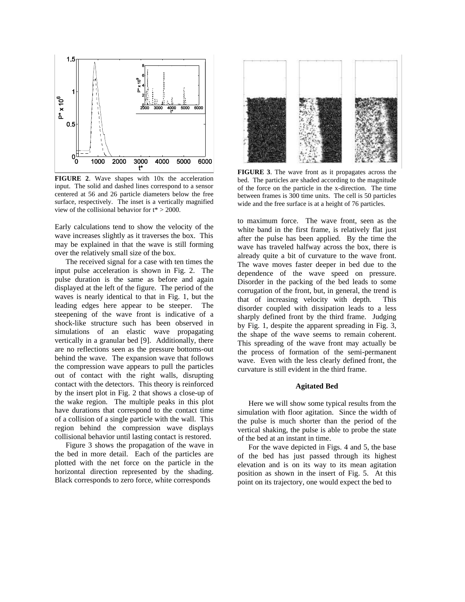

**FIGURE 2**. Wave shapes with 10x the acceleration input. The solid and dashed lines correspond to a sensor centered at 56 and 26 particle diameters below the free surface, respectively. The inset is a vertically magnified view of the collisional behavior for t\* > 2000.

Early calculations tend to show the velocity of the wave increases slightly as it traverses the box. This may be explained in that the wave is still forming over the relatively small size of the box.

The received signal for a case with ten times the input pulse acceleration is shown in Fig. 2. The pulse duration is the same as before and again displayed at the left of the figure. The period of the waves is nearly identical to that in Fig. 1, but the leading edges here appear to be steeper. The steepening of the wave front is indicative of a shock-like structure such has been observed in simulations of an elastic wave propagating vertically in a granular bed [9]. Additionally, there are no reflections seen as the pressure bottoms-out behind the wave. The expansion wave that follows the compression wave appears to pull the particles out of contact with the right walls, disrupting contact with the detectors. This theory is reinforced by the insert plot in Fig. 2 that shows a close-up of the wake region. The multiple peaks in this plot have durations that correspond to the contact time of a collision of a single particle with the wall. This region behind the compression wave displays collisional behavior until lasting contact is restored.

Figure 3 shows the propagation of the wave in the bed in more detail. Each of the particles are plotted with the net force on the particle in the horizontal direction represented by the shading. Black corresponds to zero force, white corresponds



**FIGURE 3**. The wave front as it propagates across the bed. The particles are shaded according to the magnitude of the force on the particle in the x-direction. The time between frames is 300 time units. The cell is 50 particles wide and the free surface is at a height of 76 particles.

to maximum force. The wave front, seen as the white band in the first frame, is relatively flat just after the pulse has been applied. By the time the wave has traveled halfway across the box, there is already quite a bit of curvature to the wave front. The wave moves faster deeper in bed due to the dependence of the wave speed on pressure. Disorder in the packing of the bed leads to some corrugation of the front, but, in general, the trend is that of increasing velocity with depth. This disorder coupled with dissipation leads to a less sharply defined front by the third frame. Judging by Fig. 1, despite the apparent spreading in Fig. 3, the shape of the wave seems to remain coherent. This spreading of the wave front may actually be the process of formation of the semi-permanent wave. Even with the less clearly defined front, the curvature is still evident in the third frame.

#### **Agitated Bed**

Here we will show some typical results from the simulation with floor agitation. Since the width of the pulse is much shorter than the period of the vertical shaking, the pulse is able to probe the state of the bed at an instant in time.

For the wave depicted in Figs. 4 and 5, the base of the bed has just passed through its highest elevation and is on its way to its mean agitation position as shown in the insert of Fig. 5. At this point on its trajectory, one would expect the bed to